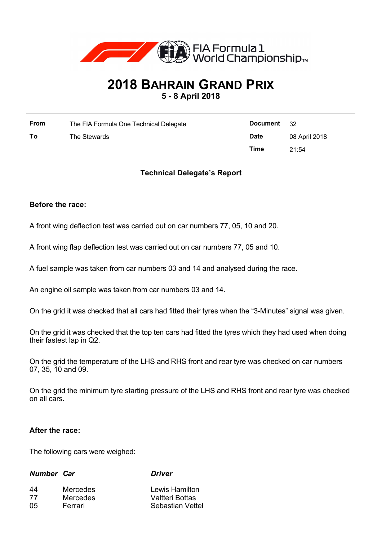

# **2018 BAHRAIN GRAND PRIX**

**5 - 8 April 2018**

| From | The FIA Formula One Technical Delegate | Document    | 32            |
|------|----------------------------------------|-------------|---------------|
| To   | The Stewards                           | <b>Date</b> | 08 April 2018 |
|      |                                        | Time        | 21:54         |

# **Technical Delegate's Report**

## **Before the race:**

A front wing deflection test was carried out on car numbers 77, 05, 10 and 20.

A front wing flap deflection test was carried out on car numbers 77, 05 and 10.

A fuel sample was taken from car numbers 03 and 14 and analysed during the race.

An engine oil sample was taken from car numbers 03 and 14.

On the grid it was checked that all cars had fitted their tyres when the "3-Minutes" signal was given.

On the grid it was checked that the top ten cars had fitted the tyres which they had used when doing their fastest lap in Q2.

On the grid the temperature of the LHS and RHS front and rear tyre was checked on car numbers 07, 35, 10 and 09.

On the grid the minimum tyre starting pressure of the LHS and RHS front and rear tyre was checked on all cars.

#### **After the race:**

The following cars were weighed:

### *Number Car Driver*

| 44 | <b>Mercedes</b> | Lewis Hamilton         |
|----|-----------------|------------------------|
| 77 | <b>Mercedes</b> | <b>Valtteri Bottas</b> |
| 05 | Ferrari         | Sebastian Vettel       |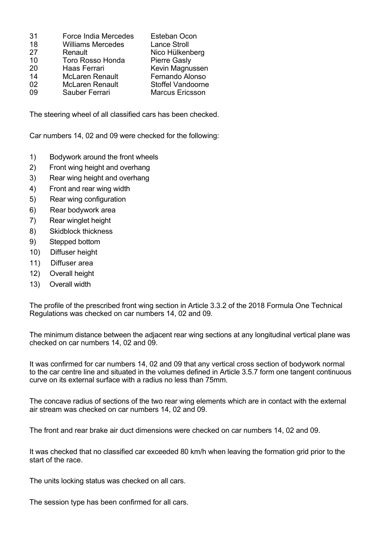| 31 | Force India Mercedes     | Esteban Ocon           |
|----|--------------------------|------------------------|
| 18 | <b>Williams Mercedes</b> | <b>Lance Stroll</b>    |
| 27 | Renault                  | Nico Hülkenberg        |
| 10 | <b>Toro Rosso Honda</b>  | <b>Pierre Gasly</b>    |
| 20 | Haas Ferrari             | Kevin Magnussen        |
| 14 | <b>McLaren Renault</b>   | Fernando Alonso        |
| 02 | <b>McLaren Renault</b>   | Stoffel Vandoorne      |
| 09 | Sauber Ferrari           | <b>Marcus Ericsson</b> |

The steering wheel of all classified cars has been checked.

Car numbers 14, 02 and 09 were checked for the following:

- 1) Bodywork around the front wheels
- 2) Front wing height and overhang
- 3) Rear wing height and overhang
- 4) Front and rear wing width
- 5) Rear wing configuration
- 6) Rear bodywork area
- 7) Rear winglet height
- 8) Skidblock thickness
- 9) Stepped bottom
- 10) Diffuser height
- 11) Diffuser area
- 12) Overall height
- 13) Overall width

The profile of the prescribed front wing section in Article 3.3.2 of the 2018 Formula One Technical Regulations was checked on car numbers 14, 02 and 09.

The minimum distance between the adjacent rear wing sections at any longitudinal vertical plane was checked on car numbers 14, 02 and 09.

It was confirmed for car numbers 14, 02 and 09 that any vertical cross section of bodywork normal to the car centre line and situated in the volumes defined in Article 3.5.7 form one tangent continuous curve on its external surface with a radius no less than 75mm.

The concave radius of sections of the two rear wing elements which are in contact with the external air stream was checked on car numbers 14, 02 and 09.

The front and rear brake air duct dimensions were checked on car numbers 14, 02 and 09.

It was checked that no classified car exceeded 80 km/h when leaving the formation grid prior to the start of the race.

The units locking status was checked on all cars.

The session type has been confirmed for all cars.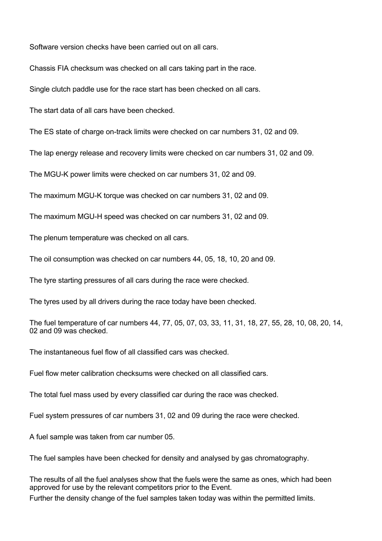Software version checks have been carried out on all cars.

Chassis FIA checksum was checked on all cars taking part in the race.

Single clutch paddle use for the race start has been checked on all cars.

The start data of all cars have been checked.

The ES state of charge on-track limits were checked on car numbers 31, 02 and 09.

The lap energy release and recovery limits were checked on car numbers 31, 02 and 09.

The MGU-K power limits were checked on car numbers 31, 02 and 09.

The maximum MGU-K torque was checked on car numbers 31, 02 and 09.

The maximum MGU-H speed was checked on car numbers 31, 02 and 09.

The plenum temperature was checked on all cars.

The oil consumption was checked on car numbers 44, 05, 18, 10, 20 and 09.

The tyre starting pressures of all cars during the race were checked.

The tyres used by all drivers during the race today have been checked.

The fuel temperature of car numbers 44, 77, 05, 07, 03, 33, 11, 31, 18, 27, 55, 28, 10, 08, 20, 14, 02 and 09 was checked.

The instantaneous fuel flow of all classified cars was checked.

Fuel flow meter calibration checksums were checked on all classified cars.

The total fuel mass used by every classified car during the race was checked.

Fuel system pressures of car numbers 31, 02 and 09 during the race were checked.

A fuel sample was taken from car number 05.

The fuel samples have been checked for density and analysed by gas chromatography.

The results of all the fuel analyses show that the fuels were the same as ones, which had been approved for use by the relevant competitors prior to the Event. Further the density change of the fuel samples taken today was within the permitted limits.